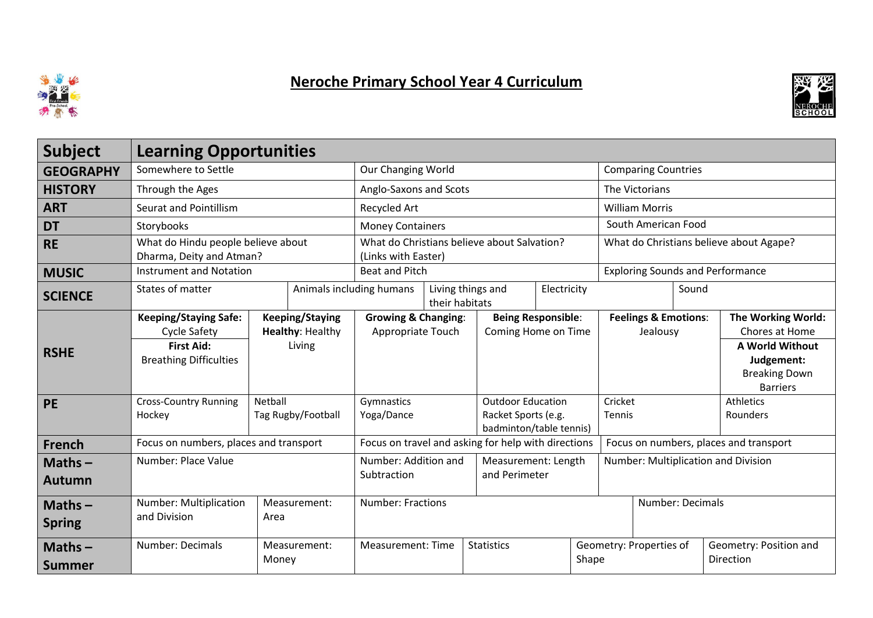

## Neroche Primary School Year 4 Curriculum



| <b>Subject</b>             | <b>Learning Opportunities</b>                                  |                                            |              |                                                                    |  |                   |                                                                            |                  |                                             |  |                                                                                 |
|----------------------------|----------------------------------------------------------------|--------------------------------------------|--------------|--------------------------------------------------------------------|--|-------------------|----------------------------------------------------------------------------|------------------|---------------------------------------------|--|---------------------------------------------------------------------------------|
| <b>GEOGRAPHY</b>           | Somewhere to Settle                                            | Our Changing World                         |              |                                                                    |  |                   | <b>Comparing Countries</b>                                                 |                  |                                             |  |                                                                                 |
| <b>HISTORY</b>             | Through the Ages                                               |                                            |              | Anglo-Saxons and Scots                                             |  |                   |                                                                            |                  | The Victorians                              |  |                                                                                 |
| <b>ART</b>                 | <b>Seurat and Pointillism</b>                                  |                                            |              | Recycled Art                                                       |  |                   |                                                                            |                  | <b>William Morris</b>                       |  |                                                                                 |
| <b>DT</b>                  | Storybooks                                                     |                                            |              | <b>Money Containers</b>                                            |  |                   |                                                                            |                  | South American Food                         |  |                                                                                 |
| <b>RE</b>                  | What do Hindu people believe about<br>Dharma, Deity and Atman? |                                            |              | What do Christians believe about Salvation?<br>(Links with Easter) |  |                   |                                                                            |                  | What do Christians believe about Agape?     |  |                                                                                 |
| <b>MUSIC</b>               | <b>Instrument and Notation</b>                                 |                                            |              | <b>Beat and Pitch</b>                                              |  |                   |                                                                            |                  | <b>Exploring Sounds and Performance</b>     |  |                                                                                 |
| <b>SCIENCE</b>             | States of matter                                               |                                            |              | Animals including humans<br>Living things and<br>their habitats    |  |                   | Electricity                                                                |                  | Sound                                       |  |                                                                                 |
|                            | <b>Keeping/Staying Safe:</b><br><b>Cycle Safety</b>            | <b>Keeping/Staying</b><br>Healthy: Healthy |              | <b>Growing &amp; Changing:</b><br>Appropriate Touch                |  |                   | <b>Being Responsible:</b><br>Coming Home on Time                           |                  | <b>Feelings &amp; Emotions:</b><br>Jealousy |  | The Working World:<br>Chores at Home                                            |
| <b>RSHE</b>                | <b>First Aid:</b><br><b>Breathing Difficulties</b>             | Living                                     |              |                                                                    |  |                   |                                                                            |                  |                                             |  | <b>A World Without</b><br>Judgement:<br><b>Breaking Down</b><br><b>Barriers</b> |
| <b>PE</b>                  | <b>Cross-Country Running</b><br>Hockey                         | Netball<br>Tag Rugby/Football              |              | Gymnastics<br>Yoga/Dance                                           |  |                   | <b>Outdoor Education</b><br>Racket Sports (e.g.<br>badminton/table tennis) |                  | Cricket<br>Tennis                           |  | <b>Athletics</b><br>Rounders                                                    |
| <b>French</b>              | Focus on numbers, places and transport                         |                                            |              | Focus on travel and asking for help with directions                |  |                   |                                                                            |                  | Focus on numbers, places and transport      |  |                                                                                 |
| Maths $-$<br><b>Autumn</b> | Number: Place Value                                            |                                            |              | Number: Addition and<br>Subtraction                                |  |                   | Measurement: Length<br>and Perimeter                                       |                  | Number: Multiplication and Division         |  |                                                                                 |
| Maths $-$<br><b>Spring</b> | Number: Multiplication<br>Measurement:<br>and Division<br>Area |                                            |              | <b>Number: Fractions</b>                                           |  |                   |                                                                            | Number: Decimals |                                             |  |                                                                                 |
| Maths $-$<br><b>Summer</b> | Number: Decimals                                               | Money                                      | Measurement: | <b>Measurement: Time</b>                                           |  | <b>Statistics</b> |                                                                            | Shape            | Geometry: Properties of                     |  | Geometry: Position and<br>Direction                                             |